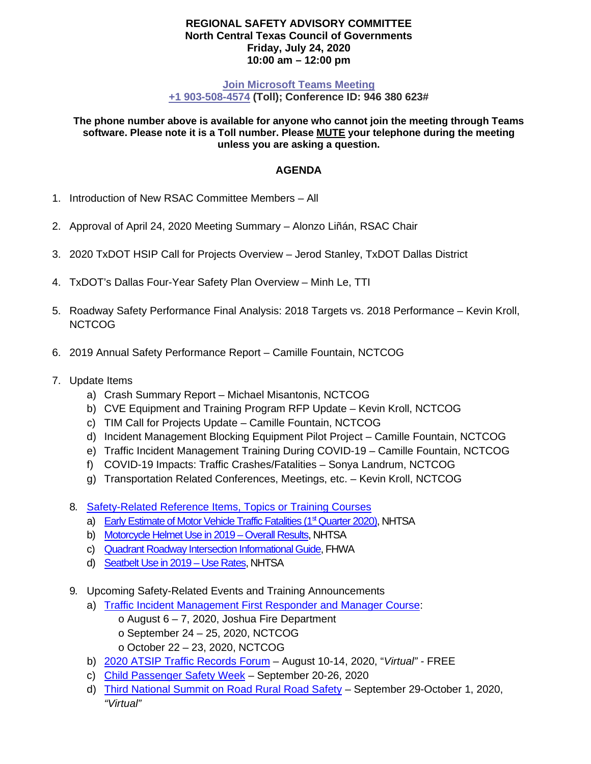## **REGIONAL SAFETY ADVISORY COMMITTEE North Central Texas Council of Governments Friday, July 24, 2020 10:00 am – 12:00 pm**

## **[Join Microsoft Teams Meeting](https://teams.microsoft.com/l/meetup-join/19%3ameeting_ZmJkMTNjNTktZGM3Mi00NzJkLWIyNjQtNDlmZTFkYTdkZWVi%40thread.v2/0?context=%7b%22Tid%22%3a%222f5e7ebc-22b0-4fbe-934c-aabddb4e29b1%22%2c%22Oid%22%3a%223418fb1d-ada3-49a3-87e9-198e6e093596%22%7d) [+1 903-508-4574](tel:+1%20903-508-4574,,946380623#%20) (Toll); Conference ID: 946 380 623#**

**The phone number above is available for anyone who cannot join the meeting through Teams software. Please note it is a Toll number. Please MUTE your telephone during the meeting unless you are asking a question.**

## **AGENDA**

- 1. Introduction of New RSAC Committee Members All
- 2. Approval of April 24, 2020 Meeting Summary Alonzo Liñán, RSAC Chair
- 3. 2020 TxDOT HSIP Call for Projects Overview Jerod Stanley, TxDOT Dallas District
- 4. TxDOT's Dallas Four-Year Safety Plan Overview Minh Le, TTI
- 5. Roadway Safety Performance Final Analysis: 2018 Targets vs. 2018 Performance Kevin Kroll, **NCTCOG**
- 6. 2019 Annual Safety Performance Report Camille Fountain, NCTCOG
- 7. Update Items
	- a) Crash Summary Report Michael Misantonis, NCTCOG
	- b) CVE Equipment and Training Program RFP Update Kevin Kroll, NCTCOG
	- c) TIM Call for Projects Update Camille Fountain, NCTCOG
	- d) Incident Management Blocking Equipment Pilot Project Camille Fountain, NCTCOG
	- e) Traffic Incident Management Training During COVID-19 Camille Fountain, NCTCOG
	- f) COVID-19 Impacts: Traffic Crashes/Fatalities Sonya Landrum, NCTCOG
	- g) Transportation Related Conferences, Meetings, etc. Kevin Kroll, NCTCOG
	- 8. [Safety-Related Reference Items, Topics or Training Courses](https://www.nctcog.org/trans/quality/safety/transportation-safety/safety-topic-resources)
		- a) Early Estimate of Motor Vehicle Traffic Fatalities (1<sup>st</sup> Quarter 2020), NHTSA
		- b) [Motorcycle Helmet Use in 2019 –](https://crashstats.nhtsa.dot.gov/Api/Public/ViewPublication/812936) Overall Results, NHTSA
		- c) [Quadrant Roadway Intersection Informational Guide,](https://safety.fhwa.dot.gov/intersection/innovative/others/docs/fhwasa19029.pdf) FHWA
		- d) [Seatbelt Use in 2019 –](https://crashstats.nhtsa.dot.gov/Api/Public/ViewPublication/812947) Use Rates, NHTSA
	- 9. Upcoming Safety-Related Events and Training Announcements
		- a) Traffic [Incident Management First Responder and Manager Course:](https://www.nctcog.org/training-development-institute/tdi-training-courses/public-safety-academy)
			- $\circ$  August 6 7, 2020, Joshua Fire Department o September 24 – 25, 2020, NCTCOG o October 22 – 23, 2020, NCTCOG
		- b) [2020 ATSIP Traffic Records Forum](https://atsip.org/) August 10-14, 2020, "*Virtual" -* FREE
		- c) [Child Passenger Safety Week](https://www.trafficsafetymarketing.gov/get-materials/child-safety) September 20-26, 2020
		- d) [Third National Summit on Road Rural Road Safety](http://www.cvent.com/events/3rd-national-summit-on-rural-road-safety/event-summary-09277ba6f76249638deb546f4518b834.aspx) September 29-October 1, 2020, *"Virtual"*